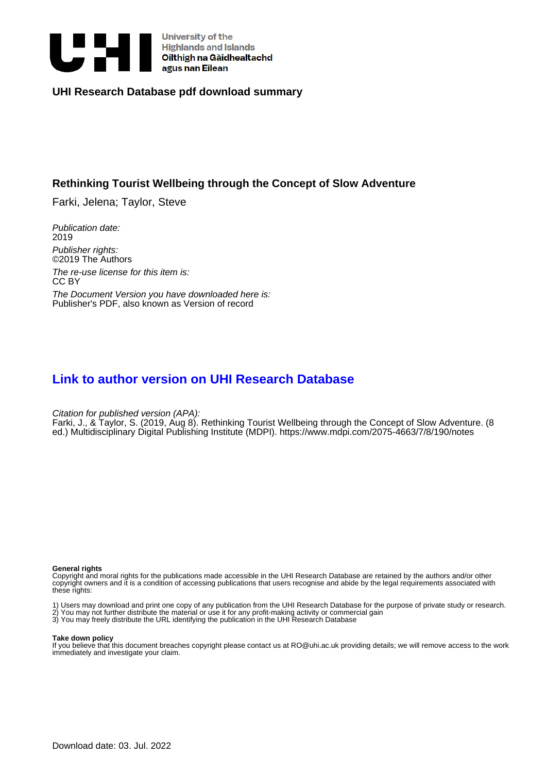

## **UHI Research Database pdf download summary**

## **Rethinking Tourist Wellbeing through the Concept of Slow Adventure**

Farki, Jelena; Taylor, Steve

Publication date: 2019

Publisher rights: ©2019 The Authors

The re-use license for this item is: CC BY The Document Version you have downloaded here is: Publisher's PDF, also known as Version of record

# **[Link to author version on UHI Research Database](https://pure.uhi.ac.uk/en/publications/f3e2ecb0-cf49-477f-b7ee-b14f8d2c1fa4)**

Citation for published version (APA):

Farki, J., & Taylor, S. (2019, Aug 8). Rethinking Tourist Wellbeing through the Concept of Slow Adventure. (8 ed.) Multidisciplinary Digital Publishing Institute (MDPI). <https://www.mdpi.com/2075-4663/7/8/190/notes>

#### **General rights**

Copyright and moral rights for the publications made accessible in the UHI Research Database are retained by the authors and/or other copyright owners and it is a condition of accessing publications that users recognise and abide by the legal requirements associated with these rights:

1) Users may download and print one copy of any publication from the UHI Research Database for the purpose of private study or research. 2) You may not further distribute the material or use it for any profit-making activity or commercial gain

3) You may freely distribute the URL identifying the publication in the UHI Research Database

#### **Take down policy**

If you believe that this document breaches copyright please contact us at RO@uhi.ac.uk providing details; we will remove access to the work immediately and investigate your claim.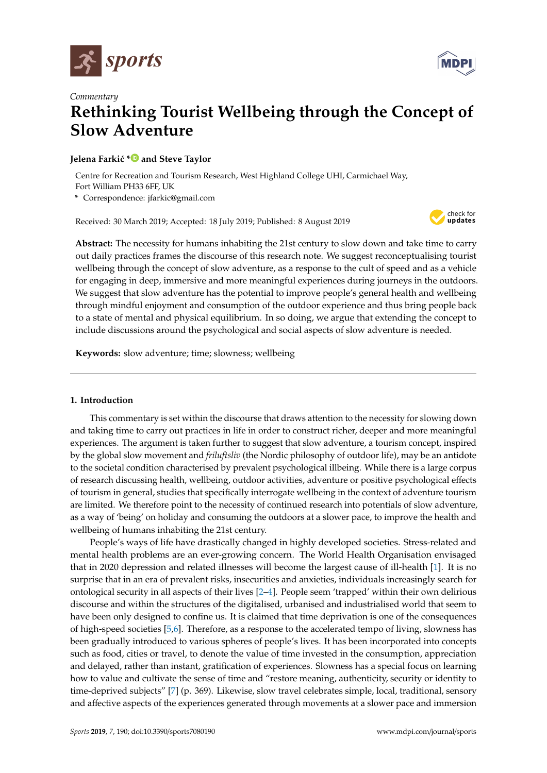



# *Commentary* **Rethinking Tourist Wellbeing through the Concept of Slow Adventure**

## **Jelena Farki´c [\\*](https://orcid.org/0000-0002-2135-2254) and Steve Taylor**

Centre for Recreation and Tourism Research, West Highland College UHI, Carmichael Way, Fort William PH33 6FF, UK

**\*** Correspondence: jfarkic@gmail.com

Received: 30 March 2019; Accepted: 18 July 2019; Published: 8 August 2019



**Abstract:** The necessity for humans inhabiting the 21st century to slow down and take time to carry out daily practices frames the discourse of this research note. We suggest reconceptualising tourist wellbeing through the concept of slow adventure, as a response to the cult of speed and as a vehicle for engaging in deep, immersive and more meaningful experiences during journeys in the outdoors. We suggest that slow adventure has the potential to improve people's general health and wellbeing through mindful enjoyment and consumption of the outdoor experience and thus bring people back to a state of mental and physical equilibrium. In so doing, we argue that extending the concept to include discussions around the psychological and social aspects of slow adventure is needed.

**Keywords:** slow adventure; time; slowness; wellbeing

## **1. Introduction**

This commentary is set within the discourse that draws attention to the necessity for slowing down and taking time to carry out practices in life in order to construct richer, deeper and more meaningful experiences. The argument is taken further to suggest that slow adventure, a tourism concept, inspired by the global slow movement and *friluftsliv* (the Nordic philosophy of outdoor life), may be an antidote to the societal condition characterised by prevalent psychological illbeing. While there is a large corpus of research discussing health, wellbeing, outdoor activities, adventure or positive psychological effects of tourism in general, studies that specifically interrogate wellbeing in the context of adventure tourism are limited. We therefore point to the necessity of continued research into potentials of slow adventure, as a way of 'being' on holiday and consuming the outdoors at a slower pace, to improve the health and wellbeing of humans inhabiting the 21st century.

People's ways of life have drastically changed in highly developed societies. Stress-related and mental health problems are an ever-growing concern. The World Health Organisation envisaged that in 2020 depression and related illnesses will become the largest cause of ill-health [\[1\]](#page-4-0). It is no surprise that in an era of prevalent risks, insecurities and anxieties, individuals increasingly search for ontological security in all aspects of their lives [\[2–](#page-4-1)[4\]](#page-4-2). People seem 'trapped' within their own delirious discourse and within the structures of the digitalised, urbanised and industrialised world that seem to have been only designed to confine us. It is claimed that time deprivation is one of the consequences of high-speed societies [\[5,](#page-4-3)[6\]](#page-4-4). Therefore, as a response to the accelerated tempo of living, slowness has been gradually introduced to various spheres of people's lives. It has been incorporated into concepts such as food, cities or travel, to denote the value of time invested in the consumption, appreciation and delayed, rather than instant, gratification of experiences. Slowness has a special focus on learning how to value and cultivate the sense of time and "restore meaning, authenticity, security or identity to time-deprived subjects" [\[7\]](#page-4-5) (p. 369). Likewise, slow travel celebrates simple, local, traditional, sensory and affective aspects of the experiences generated through movements at a slower pace and immersion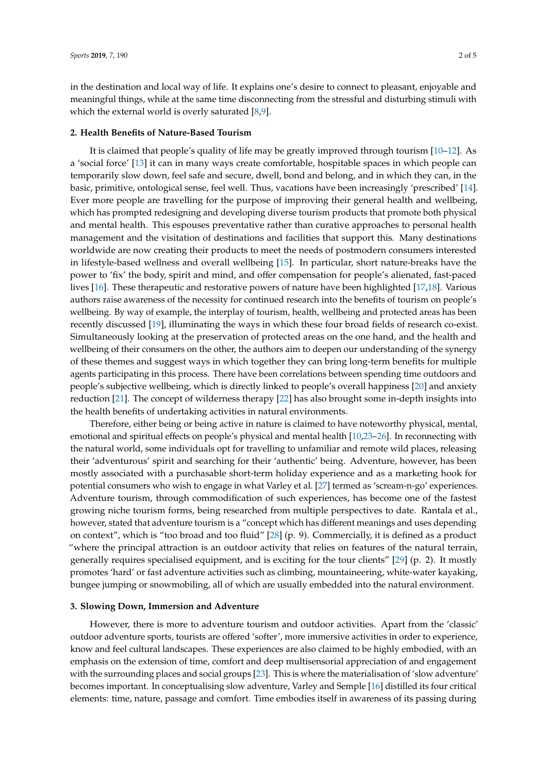in the destination and local way of life. It explains one's desire to connect to pleasant, enjoyable and meaningful things, while at the same time disconnecting from the stressful and disturbing stimuli with which the external world is overly saturated [\[8](#page-4-6)[,9\]](#page-4-7).

#### **2. Health Benefits of Nature-Based Tourism**

It is claimed that people's quality of life may be greatly improved through tourism [\[10](#page-4-8)[–12\]](#page-4-9). As a 'social force' [\[13\]](#page-4-10) it can in many ways create comfortable, hospitable spaces in which people can temporarily slow down, feel safe and secure, dwell, bond and belong, and in which they can, in the basic, primitive, ontological sense, feel well. Thus, vacations have been increasingly 'prescribed' [\[14\]](#page-4-11). Ever more people are travelling for the purpose of improving their general health and wellbeing, which has prompted redesigning and developing diverse tourism products that promote both physical and mental health. This espouses preventative rather than curative approaches to personal health management and the visitation of destinations and facilities that support this. Many destinations worldwide are now creating their products to meet the needs of postmodern consumers interested in lifestyle-based wellness and overall wellbeing [\[15\]](#page-4-12). In particular, short nature-breaks have the power to 'fix' the body, spirit and mind, and offer compensation for people's alienated, fast-paced lives [\[16\]](#page-4-13). These therapeutic and restorative powers of nature have been highlighted [\[17,](#page-4-14)[18\]](#page-4-15). Various authors raise awareness of the necessity for continued research into the benefits of tourism on people's wellbeing. By way of example, the interplay of tourism, health, wellbeing and protected areas has been recently discussed [\[19\]](#page-4-16), illuminating the ways in which these four broad fields of research co-exist. Simultaneously looking at the preservation of protected areas on the one hand, and the health and wellbeing of their consumers on the other, the authors aim to deepen our understanding of the synergy of these themes and suggest ways in which together they can bring long-term benefits for multiple agents participating in this process. There have been correlations between spending time outdoors and people's subjective wellbeing, which is directly linked to people's overall happiness [\[20\]](#page-4-17) and anxiety reduction [\[21\]](#page-4-18). The concept of wilderness therapy [\[22\]](#page-4-19) has also brought some in-depth insights into the health benefits of undertaking activities in natural environments.

Therefore, either being or being active in nature is claimed to have noteworthy physical, mental, emotional and spiritual effects on people's physical and mental health [\[10,](#page-4-8)[23–](#page-4-20)[26\]](#page-5-0). In reconnecting with the natural world, some individuals opt for travelling to unfamiliar and remote wild places, releasing their 'adventurous' spirit and searching for their 'authentic' being. Adventure, however, has been mostly associated with a purchasable short-term holiday experience and as a marketing hook for potential consumers who wish to engage in what Varley et al. [\[27\]](#page-5-1) termed as 'scream-n-go' experiences. Adventure tourism, through commodification of such experiences, has become one of the fastest growing niche tourism forms, being researched from multiple perspectives to date. Rantala et al., however, stated that adventure tourism is a "concept which has different meanings and uses depending on context", which is "too broad and too fluid" [\[28\]](#page-5-2) (p. 9). Commercially, it is defined as a product "where the principal attraction is an outdoor activity that relies on features of the natural terrain, generally requires specialised equipment, and is exciting for the tour clients" [\[29\]](#page-5-3) (p. 2). It mostly promotes 'hard' or fast adventure activities such as climbing, mountaineering, white-water kayaking, bungee jumping or snowmobiling, all of which are usually embedded into the natural environment.

### **3. Slowing Down, Immersion and Adventure**

However, there is more to adventure tourism and outdoor activities. Apart from the 'classic' outdoor adventure sports, tourists are offered 'softer', more immersive activities in order to experience, know and feel cultural landscapes. These experiences are also claimed to be highly embodied, with an emphasis on the extension of time, comfort and deep multisensorial appreciation of and engagement with the surrounding places and social groups [\[23\]](#page-4-20). This is where the materialisation of 'slow adventure' becomes important. In conceptualising slow adventure, Varley and Semple [\[16\]](#page-4-13) distilled its four critical elements: time, nature, passage and comfort. Time embodies itself in awareness of its passing during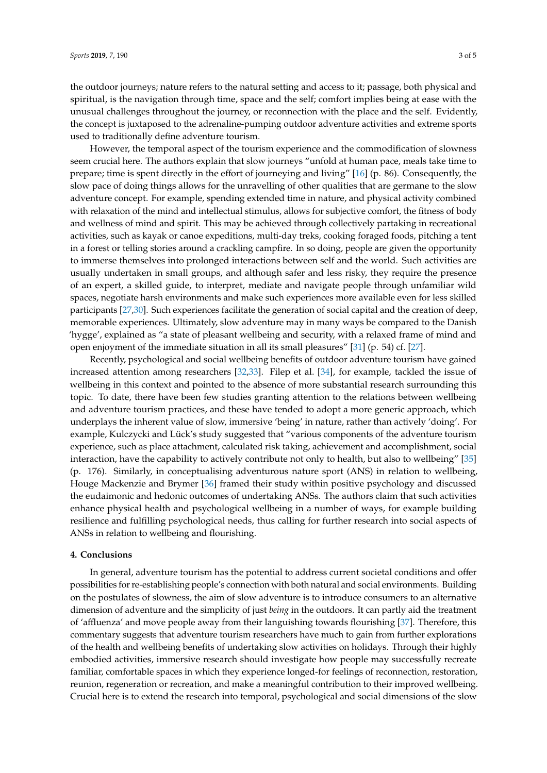the outdoor journeys; nature refers to the natural setting and access to it; passage, both physical and spiritual, is the navigation through time, space and the self; comfort implies being at ease with the unusual challenges throughout the journey, or reconnection with the place and the self. Evidently, the concept is juxtaposed to the adrenaline-pumping outdoor adventure activities and extreme sports used to traditionally define adventure tourism.

However, the temporal aspect of the tourism experience and the commodification of slowness seem crucial here. The authors explain that slow journeys "unfold at human pace, meals take time to prepare; time is spent directly in the effort of journeying and living" [\[16\]](#page-4-13) (p. 86). Consequently, the slow pace of doing things allows for the unravelling of other qualities that are germane to the slow adventure concept. For example, spending extended time in nature, and physical activity combined with relaxation of the mind and intellectual stimulus, allows for subjective comfort, the fitness of body and wellness of mind and spirit. This may be achieved through collectively partaking in recreational activities, such as kayak or canoe expeditions, multi-day treks, cooking foraged foods, pitching a tent in a forest or telling stories around a crackling campfire. In so doing, people are given the opportunity to immerse themselves into prolonged interactions between self and the world. Such activities are usually undertaken in small groups, and although safer and less risky, they require the presence of an expert, a skilled guide, to interpret, mediate and navigate people through unfamiliar wild spaces, negotiate harsh environments and make such experiences more available even for less skilled participants [\[27](#page-5-1)[,30\]](#page-5-4). Such experiences facilitate the generation of social capital and the creation of deep, memorable experiences. Ultimately, slow adventure may in many ways be compared to the Danish 'hygge', explained as "a state of pleasant wellbeing and security, with a relaxed frame of mind and open enjoyment of the immediate situation in all its small pleasures" [\[31\]](#page-5-5) (p. 54) cf. [\[27\]](#page-5-1).

Recently, psychological and social wellbeing benefits of outdoor adventure tourism have gained increased attention among researchers [\[32,](#page-5-6)[33\]](#page-5-7). Filep et al. [\[34\]](#page-5-8), for example, tackled the issue of wellbeing in this context and pointed to the absence of more substantial research surrounding this topic. To date, there have been few studies granting attention to the relations between wellbeing and adventure tourism practices, and these have tended to adopt a more generic approach, which underplays the inherent value of slow, immersive 'being' in nature, rather than actively 'doing'. For example, Kulczycki and Lück's study suggested that "various components of the adventure tourism experience, such as place attachment, calculated risk taking, achievement and accomplishment, social interaction, have the capability to actively contribute not only to health, but also to wellbeing" [\[35\]](#page-5-9) (p. 176). Similarly, in conceptualising adventurous nature sport (ANS) in relation to wellbeing, Houge Mackenzie and Brymer [\[36\]](#page-5-10) framed their study within positive psychology and discussed the eudaimonic and hedonic outcomes of undertaking ANSs. The authors claim that such activities enhance physical health and psychological wellbeing in a number of ways, for example building resilience and fulfilling psychological needs, thus calling for further research into social aspects of ANSs in relation to wellbeing and flourishing.

### **4. Conclusions**

In general, adventure tourism has the potential to address current societal conditions and offer possibilities for re-establishing people's connection with both natural and social environments. Building on the postulates of slowness, the aim of slow adventure is to introduce consumers to an alternative dimension of adventure and the simplicity of just *being* in the outdoors. It can partly aid the treatment of 'affluenza' and move people away from their languishing towards flourishing [\[37\]](#page-5-11). Therefore, this commentary suggests that adventure tourism researchers have much to gain from further explorations of the health and wellbeing benefits of undertaking slow activities on holidays. Through their highly embodied activities, immersive research should investigate how people may successfully recreate familiar, comfortable spaces in which they experience longed-for feelings of reconnection, restoration, reunion, regeneration or recreation, and make a meaningful contribution to their improved wellbeing. Crucial here is to extend the research into temporal, psychological and social dimensions of the slow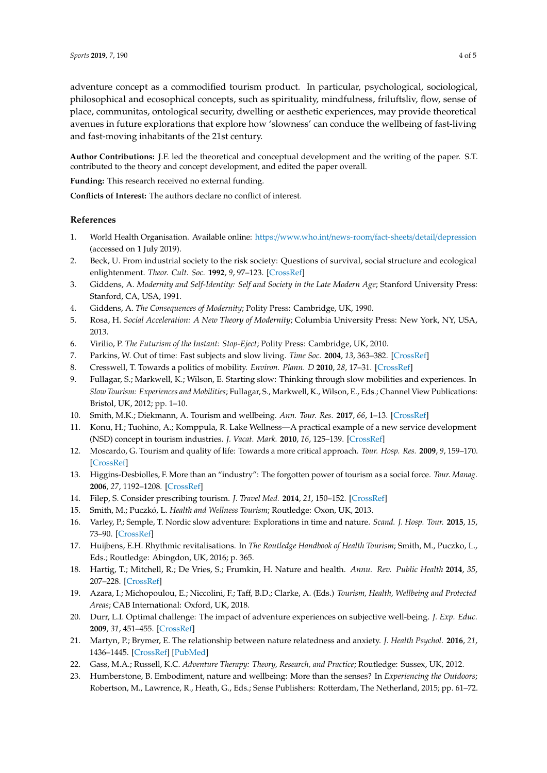adventure concept as a commodified tourism product. In particular, psychological, sociological, philosophical and ecosophical concepts, such as spirituality, mindfulness, friluftsliv, flow, sense of place, communitas, ontological security, dwelling or aesthetic experiences, may provide theoretical avenues in future explorations that explore how 'slowness' can conduce the wellbeing of fast-living and fast-moving inhabitants of the 21st century.

**Author Contributions:** J.F. led the theoretical and conceptual development and the writing of the paper. S.T. contributed to the theory and concept development, and edited the paper overall.

**Funding:** This research received no external funding.

**Conflicts of Interest:** The authors declare no conflict of interest.

## **References**

- <span id="page-4-0"></span>1. World Health Organisation. Available online: https://[www.who.int](https://www.who.int/news-room/fact-sheets/detail/depression)/news-room/fact-sheets/detail/depression (accessed on 1 July 2019).
- <span id="page-4-1"></span>2. Beck, U. From industrial society to the risk society: Questions of survival, social structure and ecological enlightenment. *Theor. Cult. Soc.* **1992**, *9*, 97–123. [\[CrossRef\]](http://dx.doi.org/10.1177/026327692009001006)
- 3. Giddens, A. *Modernity and Self-Identity: Self and Society in the Late Modern Age*; Stanford University Press: Stanford, CA, USA, 1991.
- <span id="page-4-2"></span>4. Giddens, A. *The Consequences of Modernity*; Polity Press: Cambridge, UK, 1990.
- <span id="page-4-3"></span>5. Rosa, H. *Social Acceleration: A New Theory of Modernity*; Columbia University Press: New York, NY, USA, 2013.
- <span id="page-4-4"></span>6. Virilio, P. *The Futurism of the Instant: Stop-Eject*; Polity Press: Cambridge, UK, 2010.
- <span id="page-4-5"></span>7. Parkins, W. Out of time: Fast subjects and slow living. *Time Soc.* **2004**, *13*, 363–382. [\[CrossRef\]](http://dx.doi.org/10.1177/0961463X04045662)
- <span id="page-4-6"></span>8. Cresswell, T. Towards a politics of mobility. *Environ. Plann. D* **2010**, *28*, 17–31. [\[CrossRef\]](http://dx.doi.org/10.1068/d11407)
- <span id="page-4-7"></span>9. Fullagar, S.; Markwell, K.; Wilson, E. Starting slow: Thinking through slow mobilities and experiences. In *Slow Tourism: Experiences and Mobilities*; Fullagar, S., Markwell, K., Wilson, E., Eds.; Channel View Publications: Bristol, UK, 2012; pp. 1–10.
- <span id="page-4-8"></span>10. Smith, M.K.; Diekmann, A. Tourism and wellbeing. *Ann. Tour. Res.* **2017**, *66*, 1–13. [\[CrossRef\]](http://dx.doi.org/10.1016/j.annals.2017.05.006)
- 11. Konu, H.; Tuohino, A.; Komppula, R. Lake Wellness—A practical example of a new service development (NSD) concept in tourism industries. *J. Vacat. Mark.* **2010**, *16*, 125–139. [\[CrossRef\]](http://dx.doi.org/10.1177/1356766709357489)
- <span id="page-4-9"></span>12. Moscardo, G. Tourism and quality of life: Towards a more critical approach. *Tour. Hosp. Res.* **2009**, *9*, 159–170. [\[CrossRef\]](http://dx.doi.org/10.1057/thr.2009.6)
- <span id="page-4-10"></span>13. Higgins-Desbiolles, F. More than an "industry": The forgotten power of tourism as a social force. *Tour. Manag.* **2006**, *27*, 1192–1208. [\[CrossRef\]](http://dx.doi.org/10.1016/j.tourman.2005.05.020)
- <span id="page-4-11"></span>14. Filep, S. Consider prescribing tourism. *J. Travel Med.* **2014**, *21*, 150–152. [\[CrossRef\]](http://dx.doi.org/10.1111/jtm.12104)
- <span id="page-4-12"></span>15. Smith, M.; Puczkó, L. *Health and Wellness Tourism*; Routledge: Oxon, UK, 2013.
- <span id="page-4-13"></span>16. Varley, P.; Semple, T. Nordic slow adventure: Explorations in time and nature. *Scand. J. Hosp. Tour.* **2015**, *15*, 73–90. [\[CrossRef\]](http://dx.doi.org/10.1080/15022250.2015.1028142)
- <span id="page-4-14"></span>17. Huijbens, E.H. Rhythmic revitalisations. In *The Routledge Handbook of Health Tourism*; Smith, M., Puczko, L., Eds.; Routledge: Abingdon, UK, 2016; p. 365.
- <span id="page-4-15"></span>18. Hartig, T.; Mitchell, R.; De Vries, S.; Frumkin, H. Nature and health. *Annu. Rev. Public Health* **2014**, *35*, 207–228. [\[CrossRef\]](http://dx.doi.org/10.1146/annurev-publhealth-032013-182443)
- <span id="page-4-16"></span>19. Azara, I.; Michopoulou, E.; Niccolini, F.; Taff, B.D.; Clarke, A. (Eds.) *Tourism, Health, Wellbeing and Protected Areas*; CAB International: Oxford, UK, 2018.
- <span id="page-4-17"></span>20. Durr, L.I. Optimal challenge: The impact of adventure experiences on subjective well-being. *J. Exp. Educ.* **2009**, *31*, 451–455. [\[CrossRef\]](http://dx.doi.org/10.1177/105382590803100319)
- <span id="page-4-18"></span>21. Martyn, P.; Brymer, E. The relationship between nature relatedness and anxiety. *J. Health Psychol.* **2016**, *21*, 1436–1445. [\[CrossRef\]](http://dx.doi.org/10.1177/1359105314555169) [\[PubMed\]](http://www.ncbi.nlm.nih.gov/pubmed/25370570)
- <span id="page-4-19"></span>22. Gass, M.A.; Russell, K.C. *Adventure Therapy: Theory, Research, and Practice*; Routledge: Sussex, UK, 2012.
- <span id="page-4-20"></span>23. Humberstone, B. Embodiment, nature and wellbeing: More than the senses? In *Experiencing the Outdoors*; Robertson, M., Lawrence, R., Heath, G., Eds.; Sense Publishers: Rotterdam, The Netherland, 2015; pp. 61–72.